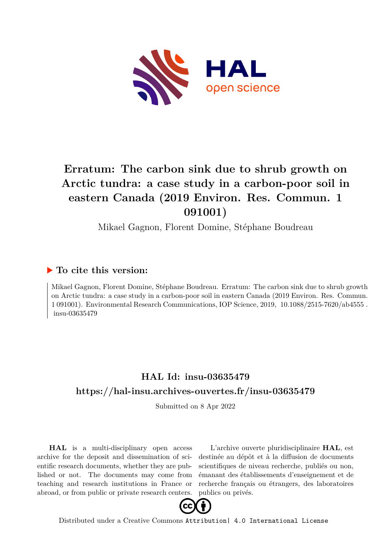

# **Erratum: The carbon sink due to shrub growth on Arctic tundra: a case study in a carbon-poor soil in eastern Canada (2019 Environ. Res. Commun. 1 091001)**

Mikael Gagnon, Florent Domine, Stéphane Boudreau

## **To cite this version:**

Mikael Gagnon, Florent Domine, Stéphane Boudreau. Erratum: The carbon sink due to shrub growth on Arctic tundra: a case study in a carbon-poor soil in eastern Canada (2019 Environ. Res. Commun. 1 091001). Environmental Research Communications, IOP Science, 2019, 10.1088/2515-7620/ab4555. insu-03635479

# **HAL Id: insu-03635479 <https://hal-insu.archives-ouvertes.fr/insu-03635479>**

Submitted on 8 Apr 2022

**HAL** is a multi-disciplinary open access archive for the deposit and dissemination of scientific research documents, whether they are published or not. The documents may come from teaching and research institutions in France or abroad, or from public or private research centers.

L'archive ouverte pluridisciplinaire **HAL**, est destinée au dépôt et à la diffusion de documents scientifiques de niveau recherche, publiés ou non, émanant des établissements d'enseignement et de recherche français ou étrangers, des laboratoires publics ou privés.



Distributed under a Creative Commons [Attribution| 4.0 International License](http://creativecommons.org/licenses/by/4.0/)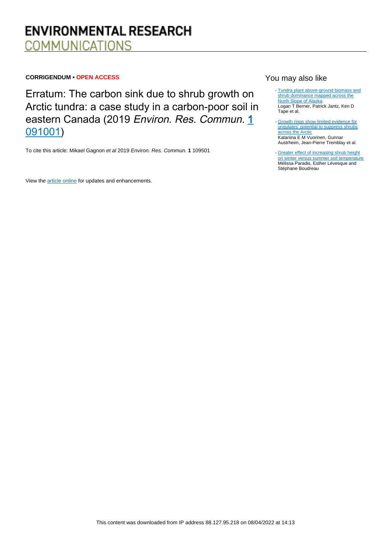# **ENVIRONMENTAL RESEARCH COMMUNICATIONS**

#### **CORRIGENDUM • OPEN ACCESS**

Erratum: The carbon sink due to shrub growth on Arctic tundra: a case study in a carbon-poor soil in eastern Canada (2019 Environ. Res. Commun. 1 [091001](http://doi.org/10.1088/2515-7620/ab3cdd))

To cite this article: Mikael Gagnon et al 2019 Environ. Res. Commun. **1** 109501

View the [article online](https://doi.org/10.1088/2515-7620/ab4555) for updates and enhancements.

### You may also like

- [Tundra plant above-ground biomass and](/article/10.1088/1748-9326/aaaa9a) [shrub dominance mapped across the](/article/10.1088/1748-9326/aaaa9a) [North Slope of Alaska](/article/10.1088/1748-9326/aaaa9a) Logan T Berner, Patrick Jantz, Ken D Tape et al.
- [Growth rings show limited evidence for](/article/10.1088/1748-9326/ac5207) [ungulates' potential to suppress shrubs](/article/10.1088/1748-9326/ac5207) [across the Arctic](/article/10.1088/1748-9326/ac5207) Katariina E M Vuorinen, Gunnar Austrheim, Jean-Pierre Tremblay et al.
- [Greater effect of increasing shrub height](/article/10.1088/1748-9326/11/8/085005) [on winter versus summer soil temperature](/article/10.1088/1748-9326/11/8/085005) Mélissa Paradis, Esther Lévesque and Stéphane Boudreau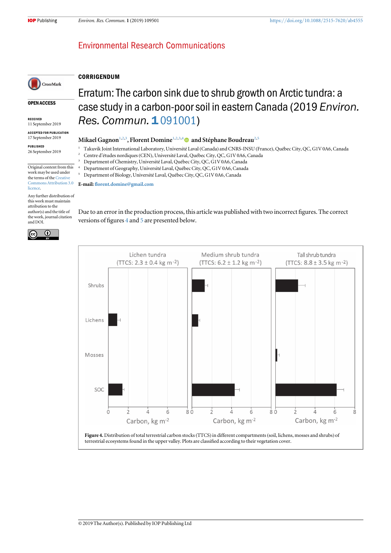### **Environmental Research Communications**



#### **CORRIGENDUM**

OPEN ACCESS

RECEIVED 11 September 2019

ACCEPTED FOR PUBLICATION 17 September 2019

PUBLISHED 26 September 2019

Original content from this

work may be used under

the terms of the [Creative](http://creativecommons.org/licenses/by/3.0) [Commons Attribution 3.0](http://creativecommons.org/licenses/by/3.0) [licence.](http://creativecommons.org/licenses/by/3.0)

Any further distribution of this work must maintain attribution to the author(s) and the title of the work, journal citation and DOI.



Erratum: The carbon sink due to shrub growth on Arctic tundra: a case study in a carbon-poor soil in eastern Canada (2019 Environ. Res. Commun. 1[091001](http://doi.org/10.1088/2515-7620/ab3cdd))

#### Mikael Gagnon $^{1,2,3}$ , Florent Domine $^{1,2,3,4}$   $\textcircled{\textsc{}}$  and Stéphane Boudreau $^{2,5}$

- <sup>1</sup> Takuvik Joint International Laboratory, Université Laval (Canada) and CNRS-INSU (France), Québec City, QC, G1V 0A6, Canada
- <sup>2</sup> Centre d'études nordiques(CEN), Université Laval, Québec City, QC, G1V 0A6, Canada
- <sup>3</sup> Department of Chemistry, Université Laval, Québec City, QC, G1V 0A6, Canada
- <sup>4</sup> Department of Geography, Université Laval, Québec City, QC, G1V 0A6, Canada <sup>5</sup> Department of Biology, Université Laval, Québec City, QC, G1V 0A6, Canada

E-mail: fl[orent.domine@gmail.com](mailto:florent.domine@gmail.com)

Due to an error in the production process, this article was published with two incorrect figures. The correct versions of figures 4 and 5 are presented below.